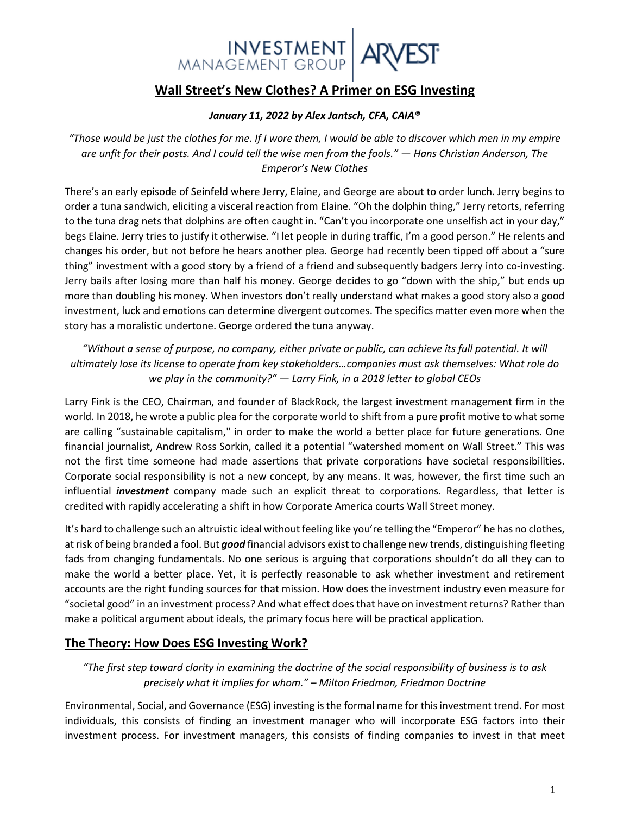# INVESTMENT ARV

## **Wall Street's New Clothes? A Primer on ESG Investing**

#### *January 11, 2022 by Alex Jantsch, CFA, CAIA®*

*"Those would be just the clothes for me. If I wore them, I would be able to discover which men in my empire are unfit for their posts. And I could tell the wise men from the fools." — Hans Christian Anderson, The Emperor's New Clothes*

There's an early episode of Seinfeld where Jerry, Elaine, and George are about to order lunch. Jerry begins to order a tuna sandwich, eliciting a visceral reaction from Elaine. "Oh the dolphin thing," Jerry retorts, referring to the tuna drag nets that dolphins are often caught in. "Can't you incorporate one unselfish act in your day," begs Elaine. Jerry tries to justify it otherwise. "I let people in during traffic, I'm a good person." He relents and changes his order, but not before he hears another plea. George had recently been tipped off about a "sure thing" investment with a good story by a friend of a friend and subsequently badgers Jerry into co-investing. Jerry bails after losing more than half his money. George decides to go "down with the ship," but ends up more than doubling his money. When investors don't really understand what makes a good story also a good investment, luck and emotions can determine divergent outcomes. The specifics matter even more when the story has a moralistic undertone. George ordered the tuna anyway.

*"Without a sense of purpose, no company, either private or public, can achieve its full potential. It will ultimately lose its license to operate from key stakeholders…companies must ask themselves: What role do we play in the community?" — Larry Fink, in a 2018 letter to global CEOs*

Larry Fink is the CEO, Chairman, and founder of BlackRock, the largest investment management firm in the world. In 2018, he wrote a public plea for the corporate world to shift from a pure profit motive to what some are calling "sustainable capitalism," in order to make the world a better place for future generations. One financial journalist, Andrew Ross Sorkin, called it a potential "watershed moment on Wall Street." This was not the first time someone had made assertions that private corporations have societal responsibilities. Corporate social responsibility is not a new concept, by any means. It was, however, the first time such an influential *investment* company made such an explicit threat to corporations. Regardless, that letter is credited with rapidly accelerating a shift in how Corporate America courts Wall Street money.

It's hard to challenge such an altruistic ideal without feeling like you're telling the "Emperor" he has no clothes, at risk of being branded a fool. But *good* financial advisors exist to challenge new trends, distinguishing fleeting fads from changing fundamentals. No one serious is arguing that corporations shouldn't do all they can to make the world a better place. Yet, it is perfectly reasonable to ask whether investment and retirement accounts are the right funding sources for that mission. How does the investment industry even measure for "societal good" in an investment process? And what effect does that have on investment returns? Rather than make a political argument about ideals, the primary focus here will be practical application.

### **The Theory: How Does ESG Investing Work?**

*"The first step toward clarity in examining the doctrine of the social responsibility of business is to ask precisely what it implies for whom." – Milton Friedman, Friedman Doctrine*

Environmental, Social, and Governance (ESG) investing is the formal name for thisinvestment trend. For most individuals, this consists of finding an investment manager who will incorporate ESG factors into their investment process. For investment managers, this consists of finding companies to invest in that meet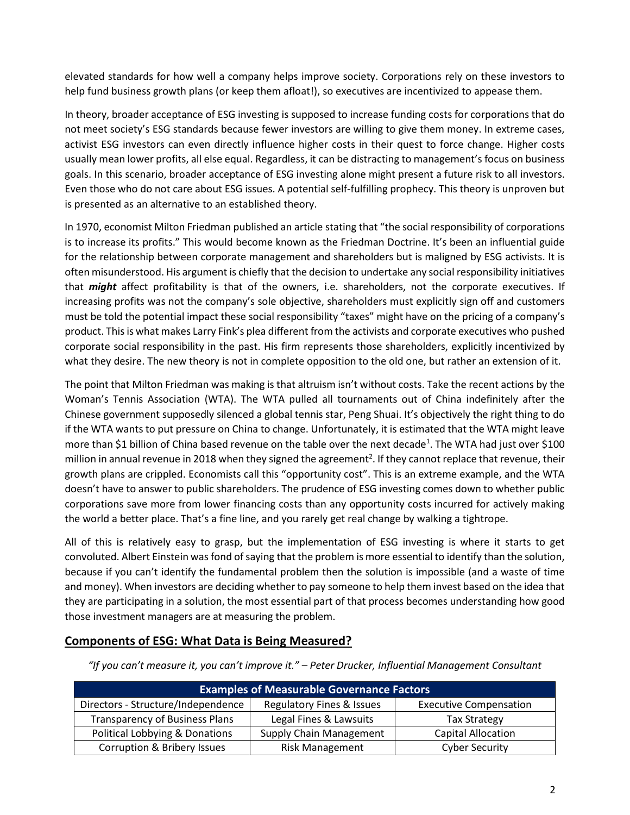elevated standards for how well a company helps improve society. Corporations rely on these investors to help fund business growth plans (or keep them afloat!), so executives are incentivized to appease them.

In theory, broader acceptance of ESG investing is supposed to increase funding costs for corporations that do not meet society's ESG standards because fewer investors are willing to give them money. In extreme cases, activist ESG investors can even directly influence higher costs in their quest to force change. Higher costs usually mean lower profits, all else equal. Regardless, it can be distracting to management's focus on business goals. In this scenario, broader acceptance of ESG investing alone might present a future risk to all investors. Even those who do not care about ESG issues. A potential self-fulfilling prophecy. This theory is unproven but is presented as an alternative to an established theory.

In 1970, economist Milton Friedman published an article stating that "the social responsibility of corporations is to increase its profits." This would become known as the Friedman Doctrine. It's been an influential guide for the relationship between corporate management and shareholders but is maligned by ESG activists. It is often misunderstood. His argument is chiefly that the decision to undertake any social responsibility initiatives that *might* affect profitability is that of the owners, i.e. shareholders, not the corporate executives. If increasing profits was not the company's sole objective, shareholders must explicitly sign off and customers must be told the potential impact these social responsibility "taxes" might have on the pricing of a company's product. This is what makes Larry Fink's plea different from the activists and corporate executives who pushed corporate social responsibility in the past. His firm represents those shareholders, explicitly incentivized by what they desire. The new theory is not in complete opposition to the old one, but rather an extension of it.

The point that Milton Friedman was making is that altruism isn't without costs. Take the recent actions by the Woman's Tennis Association (WTA). The WTA pulled all tournaments out of China indefinitely after the Chinese government supposedly silenced a global tennis star, Peng Shuai. It's objectively the right thing to do if the WTA wants to put pressure on China to change. Unfortunately, it is estimated that the WTA might leave more than \$1 billion of China based revenue on the table over the next decade<sup>1</sup>. The WTA had just over \$100 million in annual revenue in 2018 when they signed the agreement<sup>2</sup>. If they cannot replace that revenue, their growth plans are crippled. Economists call this "opportunity cost". This is an extreme example, and the WTA doesn't have to answer to public shareholders. The prudence of ESG investing comes down to whether public corporations save more from lower financing costs than any opportunity costs incurred for actively making the world a better place. That's a fine line, and you rarely get real change by walking a tightrope.

All of this is relatively easy to grasp, but the implementation of ESG investing is where it starts to get convoluted. Albert Einstein was fond of saying that the problem is more essential to identify than the solution, because if you can't identify the fundamental problem then the solution is impossible (and a waste of time and money). When investors are deciding whether to pay someone to help them invest based on the idea that they are participating in a solution, the most essential part of that process becomes understanding how good those investment managers are at measuring the problem.

### **Components of ESG: What Data is Being Measured?**

**Examples of Measurable Governance Factors** Directors - Structure/Independence | Regulatory Fines & Issues | Executive Compensation Transparency of Business Plans | Legal Fines & Lawsuits | Tax Strategy Political Lobbying & Donations | Supply Chain Management | Capital Allocation Corruption & Bribery Issues The Risk Management Cyber Security

*"If you can't measure it, you can't improve it." – Peter Drucker, Influential Management Consultant*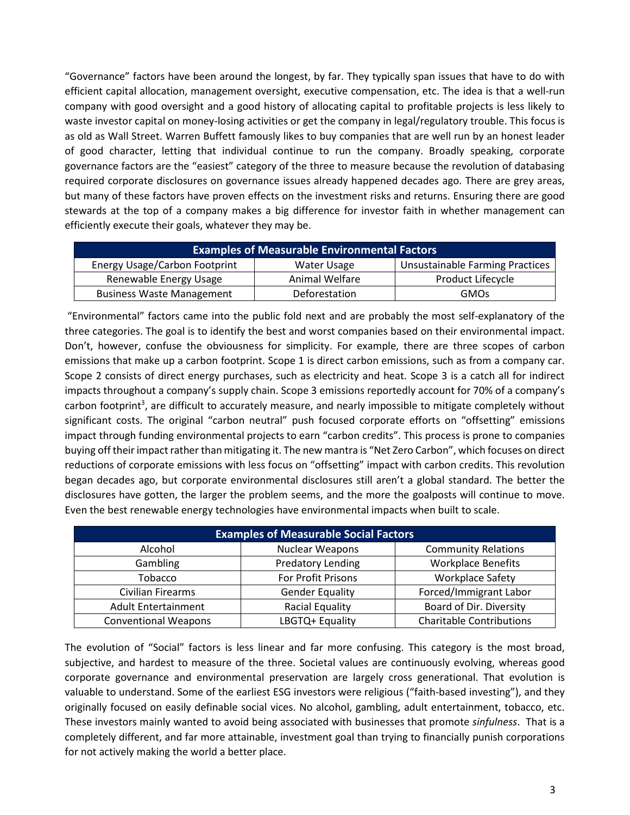"Governance" factors have been around the longest, by far. They typically span issues that have to do with efficient capital allocation, management oversight, executive compensation, etc. The idea is that a well-run company with good oversight and a good history of allocating capital to profitable projects is less likely to waste investor capital on money-losing activities or get the company in legal/regulatory trouble. This focus is as old as Wall Street. Warren Buffett famously likes to buy companies that are well run by an honest leader of good character, letting that individual continue to run the company. Broadly speaking, corporate governance factors are the "easiest" category of the three to measure because the revolution of databasing required corporate disclosures on governance issues already happened decades ago. There are grey areas, but many of these factors have proven effects on the investment risks and returns. Ensuring there are good stewards at the top of a company makes a big difference for investor faith in whether management can efficiently execute their goals, whatever they may be.

| <b>Examples of Measurable Environmental Factors</b> |                                        |                          |  |  |  |  |  |
|-----------------------------------------------------|----------------------------------------|--------------------------|--|--|--|--|--|
| <b>Energy Usage/Carbon Footprint</b>                | <b>Unsustainable Farming Practices</b> |                          |  |  |  |  |  |
| Renewable Energy Usage                              | Animal Welfare                         | <b>Product Lifecycle</b> |  |  |  |  |  |
| <b>Business Waste Management</b>                    | Deforestation                          | <b>GMOs</b>              |  |  |  |  |  |

"Environmental" factors came into the public fold next and are probably the most self-explanatory of the three categories. The goal is to identify the best and worst companies based on their environmental impact. Don't, however, confuse the obviousness for simplicity. For example, there are three scopes of carbon emissions that make up a carbon footprint. Scope 1 is direct carbon emissions, such as from a company car. Scope 2 consists of direct energy purchases, such as electricity and heat. Scope 3 is a catch all for indirect impacts throughout a company's supply chain. Scope 3 emissions reportedly account for 70% of a company's carbon footprint<sup>3</sup>, are difficult to accurately measure, and nearly impossible to mitigate completely without significant costs. The original "carbon neutral" push focused corporate efforts on "offsetting" emissions impact through funding environmental projects to earn "carbon credits". This process is prone to companies buying off their impact rather than mitigating it. The new mantra is "Net Zero Carbon", which focuses on direct reductions of corporate emissions with less focus on "offsetting" impact with carbon credits. This revolution began decades ago, but corporate environmental disclosures still aren't a global standard. The better the disclosures have gotten, the larger the problem seems, and the more the goalposts will continue to move. Even the best renewable energy technologies have environmental impacts when built to scale.

| <b>Examples of Measurable Social Factors</b> |                        |                                 |  |  |  |  |
|----------------------------------------------|------------------------|---------------------------------|--|--|--|--|
| Alcohol                                      | <b>Nuclear Weapons</b> | <b>Community Relations</b>      |  |  |  |  |
| Gambling                                     | Predatory Lending      | <b>Workplace Benefits</b>       |  |  |  |  |
| Tobacco                                      | For Profit Prisons     | <b>Workplace Safety</b>         |  |  |  |  |
| Civilian Firearms                            | <b>Gender Equality</b> | Forced/Immigrant Labor          |  |  |  |  |
| <b>Adult Entertainment</b>                   | Racial Equality        | Board of Dir. Diversity         |  |  |  |  |
| <b>Conventional Weapons</b>                  | LBGTQ+ Equality        | <b>Charitable Contributions</b> |  |  |  |  |

The evolution of "Social" factors is less linear and far more confusing. This category is the most broad, subjective, and hardest to measure of the three. Societal values are continuously evolving, whereas good corporate governance and environmental preservation are largely cross generational. That evolution is valuable to understand. Some of the earliest ESG investors were religious ("faith-based investing"), and they originally focused on easily definable social vices. No alcohol, gambling, adult entertainment, tobacco, etc. These investors mainly wanted to avoid being associated with businesses that promote *sinfulness*. That is a completely different, and far more attainable, investment goal than trying to financially punish corporations for not actively making the world a better place.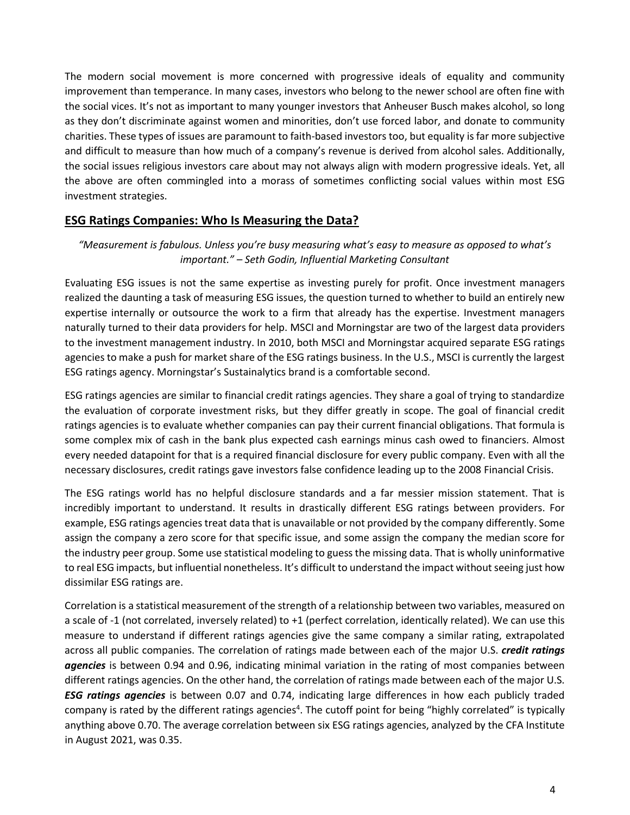The modern social movement is more concerned with progressive ideals of equality and community improvement than temperance. In many cases, investors who belong to the newer school are often fine with the social vices. It's not as important to many younger investors that Anheuser Busch makes alcohol, so long as they don't discriminate against women and minorities, don't use forced labor, and donate to community charities. These types of issues are paramount to faith-based investors too, but equality is far more subjective and difficult to measure than how much of a company's revenue is derived from alcohol sales. Additionally, the social issues religious investors care about may not always align with modern progressive ideals. Yet, all the above are often commingled into a morass of sometimes conflicting social values within most ESG investment strategies.

#### **ESG Ratings Companies: Who Is Measuring the Data?**

#### *"Measurement is fabulous. Unless you're busy measuring what's easy to measure as opposed to what's important." – Seth Godin, Influential Marketing Consultant*

Evaluating ESG issues is not the same expertise as investing purely for profit. Once investment managers realized the daunting a task of measuring ESG issues, the question turned to whether to build an entirely new expertise internally or outsource the work to a firm that already has the expertise. Investment managers naturally turned to their data providers for help. MSCI and Morningstar are two of the largest data providers to the investment management industry. In 2010, both MSCI and Morningstar acquired separate ESG ratings agencies to make a push for market share of the ESG ratings business. In the U.S., MSCI is currently the largest ESG ratings agency. Morningstar's Sustainalytics brand is a comfortable second.

ESG ratings agencies are similar to financial credit ratings agencies. They share a goal of trying to standardize the evaluation of corporate investment risks, but they differ greatly in scope. The goal of financial credit ratings agencies is to evaluate whether companies can pay their current financial obligations. That formula is some complex mix of cash in the bank plus expected cash earnings minus cash owed to financiers. Almost every needed datapoint for that is a required financial disclosure for every public company. Even with all the necessary disclosures, credit ratings gave investors false confidence leading up to the 2008 Financial Crisis.

The ESG ratings world has no helpful disclosure standards and a far messier mission statement. That is incredibly important to understand. It results in drastically different ESG ratings between providers. For example, ESG ratings agencies treat data that is unavailable or not provided by the company differently. Some assign the company a zero score for that specific issue, and some assign the company the median score for the industry peer group. Some use statistical modeling to guess the missing data. That is wholly uninformative to real ESG impacts, but influential nonetheless. It's difficult to understand the impact without seeing just how dissimilar ESG ratings are.

Correlation is a statistical measurement of the strength of a relationship between two variables, measured on a scale of -1 (not correlated, inversely related) to +1 (perfect correlation, identically related). We can use this measure to understand if different ratings agencies give the same company a similar rating, extrapolated across all public companies. The correlation of ratings made between each of the major U.S. *credit ratings agencies* is between 0.94 and 0.96, indicating minimal variation in the rating of most companies between different ratings agencies. On the other hand, the correlation of ratings made between each of the major U.S. *ESG ratings agencies* is between 0.07 and 0.74, indicating large differences in how each publicly traded company is rated by the different ratings agencies<sup>4</sup>. The cutoff point for being "highly correlated" is typically anything above 0.70. The average correlation between six ESG ratings agencies, analyzed by the CFA Institute in August 2021, was 0.35.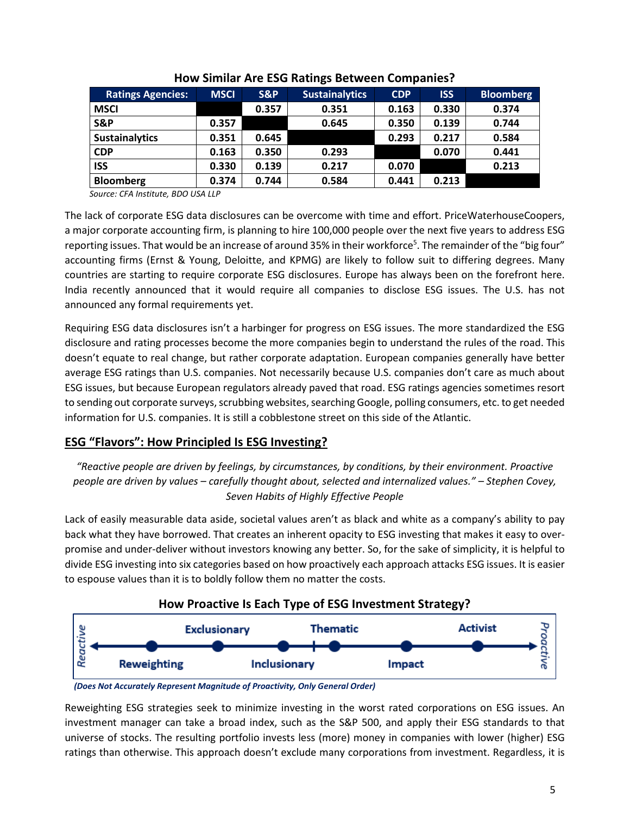| <b>Ratings Agencies:</b> | <b>MSCI</b> | S&P   | <b>Sustainalytics</b> | <b>CDP</b> | <b>ISS</b> | <b>Bloomberg</b> |
|--------------------------|-------------|-------|-----------------------|------------|------------|------------------|
| <b>MSCI</b>              |             | 0.357 | 0.351                 | 0.163      | 0.330      | 0.374            |
| S&P                      | 0.357       |       | 0.645                 | 0.350      | 0.139      | 0.744            |
| <b>Sustainalytics</b>    | 0.351       | 0.645 |                       | 0.293      | 0.217      | 0.584            |
| <b>CDP</b>               | 0.163       | 0.350 | 0.293                 |            | 0.070      | 0.441            |
| <b>ISS</b>               | 0.330       | 0.139 | 0.217                 | 0.070      |            | 0.213            |
| <b>Bloomberg</b>         | 0.374       | 0.744 | 0.584                 | 0.441      | 0.213      |                  |

#### **How Similar Are ESG Ratings Between Companies?**

*Source: CFA Institute, BDO USA LLP*

The lack of corporate ESG data disclosures can be overcome with time and effort. PriceWaterhouseCoopers, a major corporate accounting firm, is planning to hire 100,000 people over the next five years to address ESG reporting issues. That would be an increase of around 35% in their workforce<sup>5</sup>. The remainder of the "big four" accounting firms (Ernst & Young, Deloitte, and KPMG) are likely to follow suit to differing degrees. Many countries are starting to require corporate ESG disclosures. Europe has always been on the forefront here. India recently announced that it would require all companies to disclose ESG issues. The U.S. has not announced any formal requirements yet.

Requiring ESG data disclosures isn't a harbinger for progress on ESG issues. The more standardized the ESG disclosure and rating processes become the more companies begin to understand the rules of the road. This doesn't equate to real change, but rather corporate adaptation. European companies generally have better average ESG ratings than U.S. companies. Not necessarily because U.S. companies don't care as much about ESG issues, but because European regulators already paved that road. ESG ratings agencies sometimes resort to sending out corporate surveys, scrubbing websites, searching Google, polling consumers, etc. to get needed information for U.S. companies. It is still a cobblestone street on this side of the Atlantic.

### **ESG "Flavors": How Principled Is ESG Investing?**

*"Reactive people are driven by feelings, by circumstances, by conditions, by their environment. Proactive people are driven by values – carefully thought about, selected and internalized values." – Stephen Covey, Seven Habits of Highly Effective People*

Lack of easily measurable data aside, societal values aren't as black and white as a company's ability to pay back what they have borrowed. That creates an inherent opacity to ESG investing that makes it easy to overpromise and under-deliver without investors knowing any better. So, for the sake of simplicity, it is helpful to divide ESG investing into six categories based on how proactively each approach attacks ESG issues. It is easier to espouse values than it is to boldly follow them no matter the costs.





Reweighting ESG strategies seek to minimize investing in the worst rated corporations on ESG issues. An investment manager can take a broad index, such as the S&P 500, and apply their ESG standards to that universe of stocks. The resulting portfolio invests less (more) money in companies with lower (higher) ESG ratings than otherwise. This approach doesn't exclude many corporations from investment. Regardless, it is

*<sup>(</sup>Does Not Accurately Represent Magnitude of Proactivity, Only General Order)*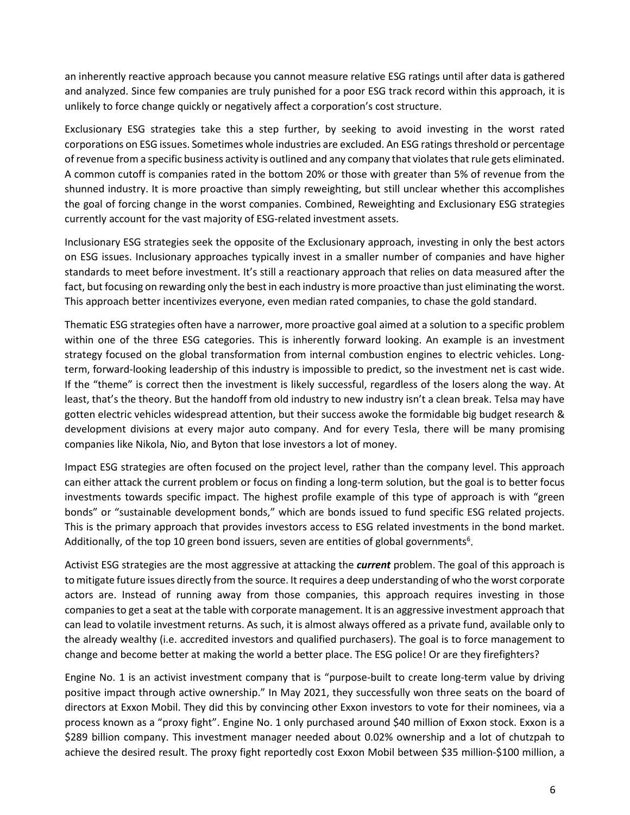an inherently reactive approach because you cannot measure relative ESG ratings until after data is gathered and analyzed. Since few companies are truly punished for a poor ESG track record within this approach, it is unlikely to force change quickly or negatively affect a corporation's cost structure.

Exclusionary ESG strategies take this a step further, by seeking to avoid investing in the worst rated corporations on ESG issues. Sometimes whole industries are excluded. An ESG ratings threshold or percentage of revenue from a specific business activity is outlined and any company that violates that rule gets eliminated. A common cutoff is companies rated in the bottom 20% or those with greater than 5% of revenue from the shunned industry. It is more proactive than simply reweighting, but still unclear whether this accomplishes the goal of forcing change in the worst companies. Combined, Reweighting and Exclusionary ESG strategies currently account for the vast majority of ESG-related investment assets.

Inclusionary ESG strategies seek the opposite of the Exclusionary approach, investing in only the best actors on ESG issues. Inclusionary approaches typically invest in a smaller number of companies and have higher standards to meet before investment. It's still a reactionary approach that relies on data measured after the fact, but focusing on rewarding only the best in each industry is more proactive than just eliminating the worst. This approach better incentivizes everyone, even median rated companies, to chase the gold standard.

Thematic ESG strategies often have a narrower, more proactive goal aimed at a solution to a specific problem within one of the three ESG categories. This is inherently forward looking. An example is an investment strategy focused on the global transformation from internal combustion engines to electric vehicles. Longterm, forward-looking leadership of this industry is impossible to predict, so the investment net is cast wide. If the "theme" is correct then the investment is likely successful, regardless of the losers along the way. At least, that's the theory. But the handoff from old industry to new industry isn't a clean break. Telsa may have gotten electric vehicles widespread attention, but their success awoke the formidable big budget research & development divisions at every major auto company. And for every Tesla, there will be many promising companies like Nikola, Nio, and Byton that lose investors a lot of money.

Impact ESG strategies are often focused on the project level, rather than the company level. This approach can either attack the current problem or focus on finding a long-term solution, but the goal is to better focus investments towards specific impact. The highest profile example of this type of approach is with "green bonds" or "sustainable development bonds," which are bonds issued to fund specific ESG related projects. This is the primary approach that provides investors access to ESG related investments in the bond market. Additionally, of the top 10 green bond issuers, seven are entities of global governments<sup>6</sup>.

Activist ESG strategies are the most aggressive at attacking the *current* problem. The goal of this approach is to mitigate future issues directly from the source. It requires a deep understanding of who the worst corporate actors are. Instead of running away from those companies, this approach requires investing in those companies to get a seat at the table with corporate management. It is an aggressive investment approach that can lead to volatile investment returns. As such, it is almost always offered as a private fund, available only to the already wealthy (i.e. accredited investors and qualified purchasers). The goal is to force management to change and become better at making the world a better place. The ESG police! Or are they firefighters?

Engine No. 1 is an activist investment company that is "purpose-built to create long-term value by driving positive impact through active ownership." In May 2021, they successfully won three seats on the board of directors at Exxon Mobil. They did this by convincing other Exxon investors to vote for their nominees, via a process known as a "proxy fight". Engine No. 1 only purchased around \$40 million of Exxon stock. Exxon is a \$289 billion company. This investment manager needed about 0.02% ownership and a lot of chutzpah to achieve the desired result. The proxy fight reportedly cost Exxon Mobil between \$35 million-\$100 million, a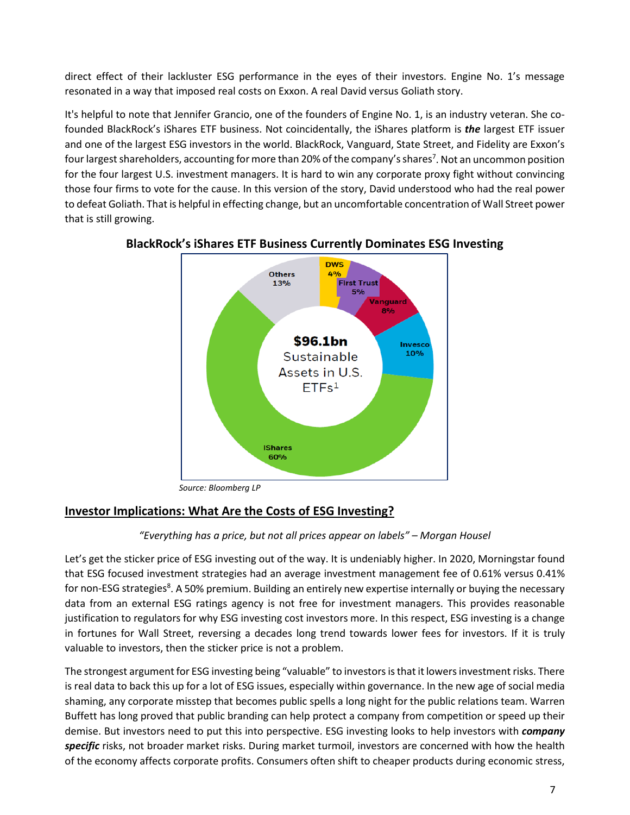direct effect of their lackluster ESG performance in the eyes of their investors. Engine No. 1's message resonated in a way that imposed real costs on Exxon. A real David versus Goliath story.

It's helpful to note that Jennifer Grancio, one of the founders of Engine No. 1, is an industry veteran. She cofounded BlackRock's iShares ETF business. Not coincidentally, the iShares platform is *the* largest ETF issuer and one of the largest ESG investors in the world. BlackRock, Vanguard, State Street, and Fidelity are Exxon's four largest shareholders, accounting for more than 20% of the company's shares<sup>7</sup>. Not an uncommon position for the four largest U.S. investment managers. It is hard to win any corporate proxy fight without convincing those four firms to vote for the cause. In this version of the story, David understood who had the real power to defeat Goliath. That is helpful in effecting change, but an uncomfortable concentration of Wall Street power that is still growing.



## **BlackRock's iShares ETF Business Currently Dominates ESG Investing**

*Source: Bloomberg LP*

## **Investor Implications: What Are the Costs of ESG Investing?**

### *"Everything has a price, but not all prices appear on labels" – Morgan Housel*

Let's get the sticker price of ESG investing out of the way. It is undeniably higher. In 2020, Morningstar found that ESG focused investment strategies had an average investment management fee of 0.61% versus 0.41% for non-ESG strategies<sup>8</sup>. A 50% premium. Building an entirely new expertise internally or buying the necessary data from an external ESG ratings agency is not free for investment managers. This provides reasonable justification to regulators for why ESG investing cost investors more. In this respect, ESG investing is a change in fortunes for Wall Street, reversing a decades long trend towards lower fees for investors. If it is truly valuable to investors, then the sticker price is not a problem.

The strongest argument for ESG investing being "valuable" to investors is that it lowers investment risks. There is real data to back this up for a lot of ESG issues, especially within governance. In the new age of social media shaming, any corporate misstep that becomes public spells a long night for the public relations team. Warren Buffett has long proved that public branding can help protect a company from competition or speed up their demise. But investors need to put this into perspective. ESG investing looks to help investors with *company specific* risks, not broader market risks. During market turmoil, investors are concerned with how the health of the economy affects corporate profits. Consumers often shift to cheaper products during economic stress,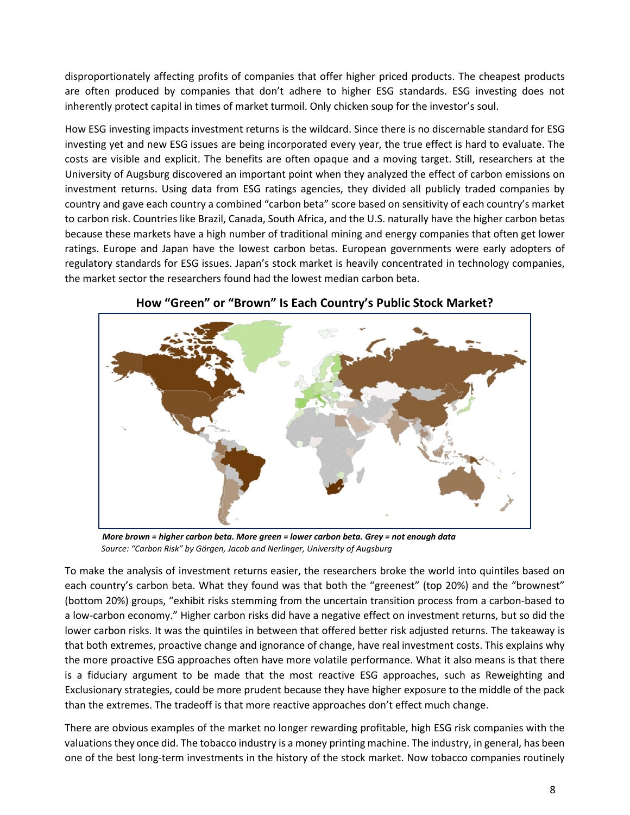disproportionately affecting profits of companies that offer higher priced products. The cheapest products are often produced by companies that don't adhere to higher ESG standards. ESG investing does not inherently protect capital in times of market turmoil. Only chicken soup for the investor's soul.

How ESG investing impacts investment returns is the wildcard. Since there is no discernable standard for ESG investing yet and new ESG issues are being incorporated every year, the true effect is hard to evaluate. The costs are visible and explicit. The benefits are often opaque and a moving target. Still, researchers at the University of Augsburg discovered an important point when they analyzed the effect of carbon emissions on investment returns. Using data from ESG ratings agencies, they divided all publicly traded companies by country and gave each country a combined "carbon beta" score based on sensitivity of each country's market to carbon risk. Countries like Brazil, Canada, South Africa, and the U.S. naturally have the higher carbon betas because these markets have a high number of traditional mining and energy companies that often get lower ratings. Europe and Japan have the lowest carbon betas. European governments were early adopters of regulatory standards for ESG issues. Japan's stock market is heavily concentrated in technology companies, the market sector the researchers found had the lowest median carbon beta.



#### **How "Green" or "Brown" Is Each Country's Public Stock Market?**

 *More brown = higher carbon beta. More green = lower carbon beta. Grey = not enough data Source: "Carbon Risk" by Görgen, Jacob and Nerlinger, University of Augsburg* 

To make the analysis of investment returns easier, the researchers broke the world into quintiles based on each country's carbon beta. What they found was that both the "greenest" (top 20%) and the "brownest" (bottom 20%) groups, "exhibit risks stemming from the uncertain transition process from a carbon-based to a low-carbon economy." Higher carbon risks did have a negative effect on investment returns, but so did the lower carbon risks. It was the quintiles in between that offered better risk adjusted returns. The takeaway is that both extremes, proactive change and ignorance of change, have real investment costs. This explains why the more proactive ESG approaches often have more volatile performance. What it also means is that there is a fiduciary argument to be made that the most reactive ESG approaches, such as Reweighting and Exclusionary strategies, could be more prudent because they have higher exposure to the middle of the pack than the extremes. The tradeoff is that more reactive approaches don't effect much change.

There are obvious examples of the market no longer rewarding profitable, high ESG risk companies with the valuations they once did. The tobacco industry is a money printing machine. The industry, in general, has been one of the best long-term investments in the history of the stock market. Now tobacco companies routinely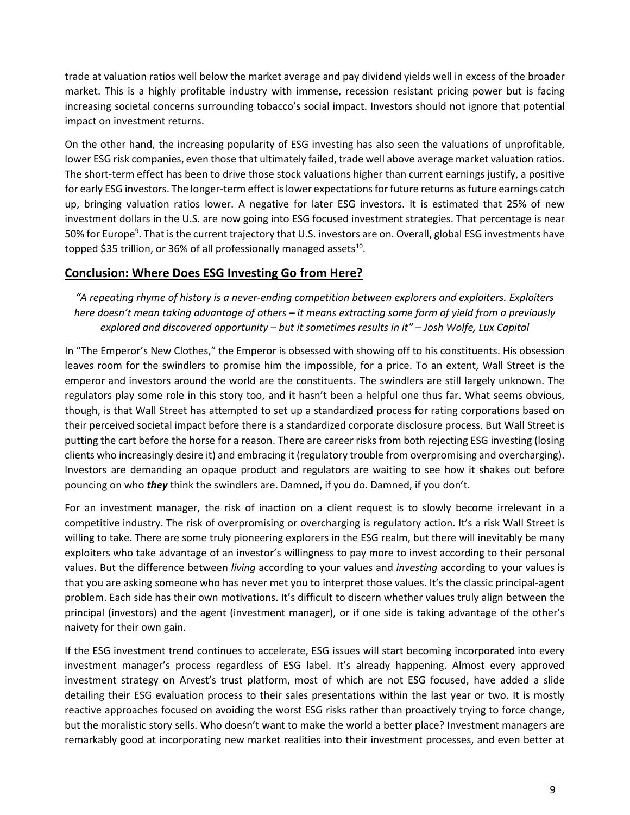trade at valuation ratios well below the market average and pay dividend yields well in excess of the broader market. This is a highly profitable industry with immense, recession resistant pricing power but is facing increasing societal concerns surrounding tobacco's social impact. Investors should not ignore that potential impact on investment returns.

On the other hand, the increasing popularity of ESG investing has also seen the valuations of unprofitable, lower ESG risk companies, even those that ultimately failed, trade well above average market valuation ratios. The short-term effect has been to drive those stock valuations higher than current earnings justify, a positive for early ESG investors. The longer-term effect is lower expectations for future returns as future earnings catch up, bringing valuation ratios lower. A negative for later ESG investors. It is estimated that 25% of new investment dollars in the U.S. are now going into ESG focused investment strategies. That percentage is near 50% for Europe<sup>9</sup>. That is the current trajectory that U.S. investors are on. Overall, global ESG investments have topped \$35 trillion, or 36% of all professionally managed assets $^{10}$ .

### **Conclusion: Where Does ESG Investing Go from Here?**

*"A repeating rhyme of history is a never-ending competition between explorers and exploiters. Exploiters here doesn't mean taking advantage of others – it means extracting some form of yield from a previously explored and discovered opportunity – but it sometimes results in it" – Josh Wolfe, Lux Capital*

In "The Emperor's New Clothes," the Emperor is obsessed with showing off to his constituents. His obsession leaves room for the swindlers to promise him the impossible, for a price. To an extent, Wall Street is the emperor and investors around the world are the constituents. The swindlers are still largely unknown. The regulators play some role in this story too, and it hasn't been a helpful one thus far. What seems obvious, though, is that Wall Street has attempted to set up a standardized process for rating corporations based on their perceived societal impact before there is a standardized corporate disclosure process. But Wall Street is putting the cart before the horse for a reason. There are career risks from both rejecting ESG investing (losing clients who increasingly desire it) and embracing it (regulatory trouble from overpromising and overcharging). Investors are demanding an opaque product and regulators are waiting to see how it shakes out before pouncing on who *they* think the swindlers are. Damned, if you do. Damned, if you don't.

For an investment manager, the risk of inaction on a client request is to slowly become irrelevant in a competitive industry. The risk of overpromising or overcharging is regulatory action. It's a risk Wall Street is willing to take. There are some truly pioneering explorers in the ESG realm, but there will inevitably be many exploiters who take advantage of an investor's willingness to pay more to invest according to their personal values. But the difference between *living* according to your values and *investing* according to your values is that you are asking someone who has never met you to interpret those values. It's the classic principal-agent problem. Each side has their own motivations. It's difficult to discern whether values truly align between the principal (investors) and the agent (investment manager), or if one side is taking advantage of the other's naivety for their own gain.

If the ESG investment trend continues to accelerate, ESG issues will start becoming incorporated into every investment manager's process regardless of ESG label. It's already happening. Almost every approved investment strategy on Arvest's trust platform, most of which are not ESG focused, have added a slide detailing their ESG evaluation process to their sales presentations within the last year or two. It is mostly reactive approaches focused on avoiding the worst ESG risks rather than proactively trying to force change, but the moralistic story sells. Who doesn't want to make the world a better place? Investment managers are remarkably good at incorporating new market realities into their investment processes, and even better at